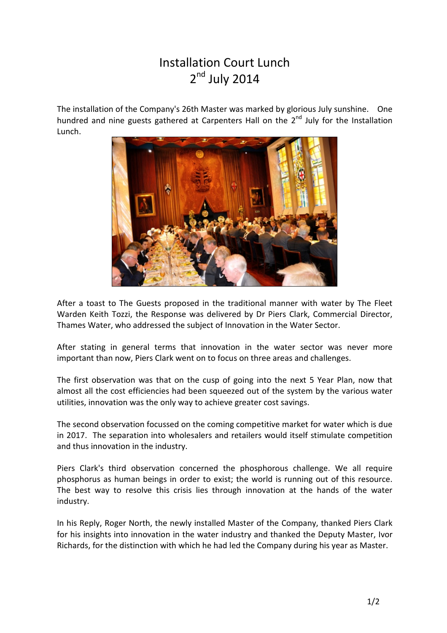## Installation Court Lunch 2<sup>nd</sup> July 2014

The installation of the Company's 26th Master was marked by glorious July sunshine. One hundred and nine guests gathered at Carpenters Hall on the 2<sup>nd</sup> July for the Installation Lunch.



After a toast to The Guests proposed in the traditional manner with water by The Fleet Warden Keith Tozzi, the Response was delivered by Dr Piers Clark, Commercial Director, Thames Water, who addressed the subject of Innovation in the Water Sector.

After stating in general terms that innovation in the water sector was never more important than now, Piers Clark went on to focus on three areas and challenges.

The first observation was that on the cusp of going into the next 5 Year Plan, now that almost all the cost efficiencies had been squeezed out of the system by the various water utilities, innovation was the only way to achieve greater cost savings.

The second observation focussed on the coming competitive market for water which is due in 2017. The separation into wholesalers and retailers would itself stimulate competition and thus innovation in the industry.

Piers Clark's third observation concerned the phosphorous challenge. We all require phosphorus as human beings in order to exist; the world is running out of this resource. The best way to resolve this crisis lies through innovation at the hands of the water industry.

In his Reply, Roger North, the newly installed Master of the Company, thanked Piers Clark for his insights into innovation in the water industry and thanked the Deputy Master, Ivor Richards, for the distinction with which he had led the Company during his year as Master.